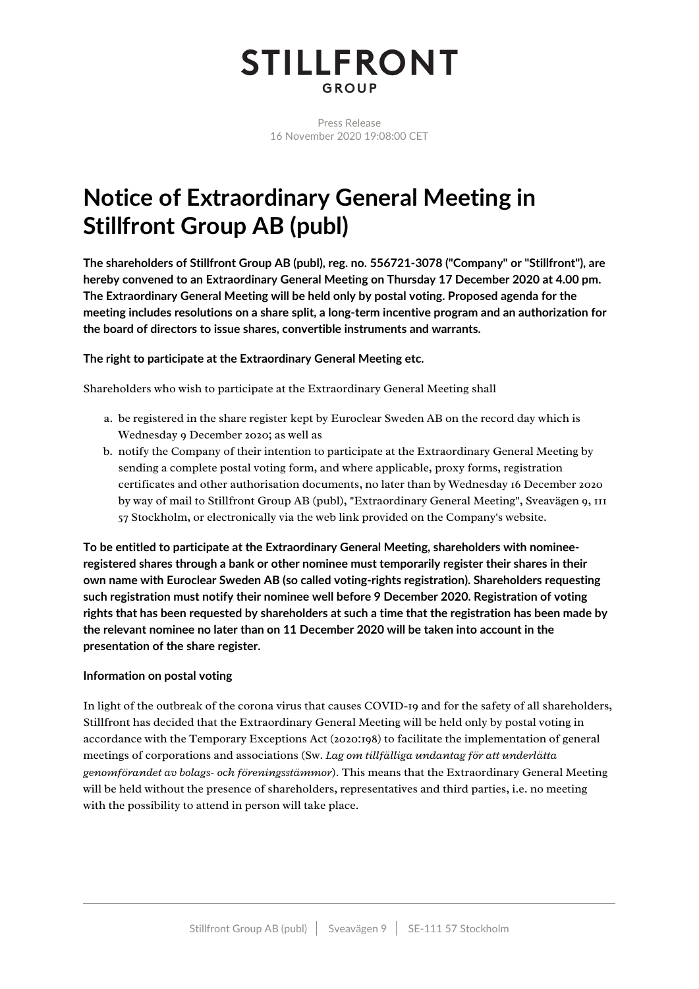# **STILLFRONT** GROUP

Press Release 16 November 2020 19:08:00 CET

# **Notice of Extraordinary General Meeting in Stillfront Group AB (publ)**

**The shareholders of Stillfront Group AB (publ), reg. no. 556721-3078 ("Company" or "Stillfront"), are hereby convened to an Extraordinary General Meeting on Thursday 17 December 2020 at 4.00 pm. The Extraordinary General Meeting will be held only by postal voting. Proposed agenda for the meeting includes resolutions on a share split, a long-term incentive program and an authorization for the board of directors to issue shares, convertible instruments and warrants.**

# **The right to participate at the Extraordinary General Meeting etc.**

Shareholders who wish to participate at the Extraordinary General Meeting shall

- a. be registered in the share register kept by Euroclear Sweden AB on the record day which is Wednesday 9 December 2020; as well as
- b. notify the Company of their intention to participate at the Extraordinary General Meeting by sending a complete postal voting form, and where applicable, proxy forms, registration certificates and other authorisation documents, no later than by Wednesday 16 December 2020 by way of mail to Stillfront Group AB (publ), "Extraordinary General Meeting", Sveavägen 9, 111 57 Stockholm, or electronically via the web link provided on the Company's website.

**To be entitled to participate at the Extraordinary General Meeting, shareholders with nomineeregistered shares through a bank or other nominee must temporarily register their shares in their own name with Euroclear Sweden AB (so called voting-rights registration). Shareholders requesting such registration must notify their nominee well before 9 December 2020. Registration of voting rights that has been requested by shareholders at such a time that the registration has been made by the relevant nominee no later than on 11 December 2020 will be taken into account in the presentation of the share register.**

# **Information on postal voting**

In light of the outbreak of the corona virus that causes COVID-19 and for the safety of all shareholders, Stillfront has decided that the Extraordinary General Meeting will be held only by postal voting in accordance with the Temporary Exceptions Act (2020:198) to facilitate the implementation of general meetings of corporations and associations (Sw. *Lag om tillfälliga undantag för att underlätta* genomförandet av bolags- och föreningsstämmor). This means that the Extraordinary General Meeting will be held without the presence of shareholders, representatives and third parties, i.e. no meeting with the possibility to attend in person will take place.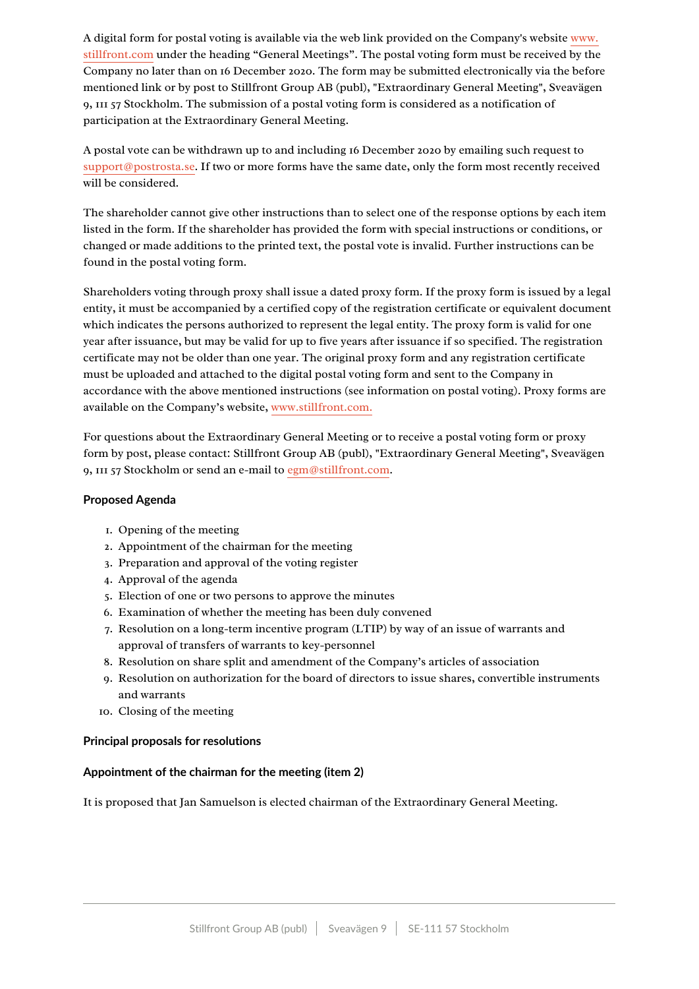A digital form for postal voting is available via the web link provided on the Company's website www. [stillfront.com](http://www.stillfront.com/) under the heading "General Meetings". The postal voting form must be received by the Company no later than on 16 December 2020. The form may be submitted electronically via the before mentioned link or by post to Stillfront Group AB (publ), "Extraordinary General Meeting", Sveavägen 9, 111 57 Stockholm. The submission of a postal voting form is considered as a notification of participation at the Extraordinary General Meeting.

A postal vote can be withdrawn up to and including 16 December 2020 by emailing such request to support@postrosta.se. If two or more forms have the same date, only the form most recently received will be considered.

The shareholder cannot give other instructions than to select one of the response options by each item listed in the form. If the shareholder has provided the form with special instructions or conditions, or changed or made additions to the printed text, the postal vote is invalid. Further instructions can be found in the postal voting form.

Shareholders voting through proxy shall issue a dated proxy form. If the proxy form is issued by a legal entity, it must be accompanied by a certified copy of the registration certificate or equivalent document which indicates the persons authorized to represent the legal entity. The proxy form is valid for one year after issuance, but may be valid for up to five years after issuance if so specified. The registration certificate may not be older than one year. The original proxy form and any registration certificate must be uploaded and attached to the digital postal voting form and sent to the Company in accordance with the above mentioned instructions (see information on postal voting). Proxy forms are available on the Company's website, www.stillfront.com.

For questions about the Extraordinary General Meeting or to receive a postal voting form or proxy form by post, please contact: Stillfront Group AB (publ), "Extraordinary General Meeting", Sveavägen 9, 111 57 Stockholm or send an e-mail to egm@stillfront.com.

## **Proposed Agenda**

- 1. Opening of the meeting
- 2. Appointment of the chairman for the meeting
- 3. Preparation and approval of the voting register
- 4. Approval of the agenda
- 5. Election of one or two persons to approve the minutes
- 6. Examination of whether the meeting has been duly convened
- 7. Resolution on a long-term incentive program (LTIP) by way of an issue of warrants and approval of transfers of warrants to key-personnel
- 8. Resolution on share split and amendment of the Company's articles of association
- 9. Resolution on authorization for the board of directors to issue shares, convertible instruments and warrants
- 10. Closing of the meeting

## **Principal proposals for resolutions**

# **Appointment of the chairman for the meeting (item 2)**

It is proposed that Jan Samuelson is elected chairman of the Extraordinary General Meeting.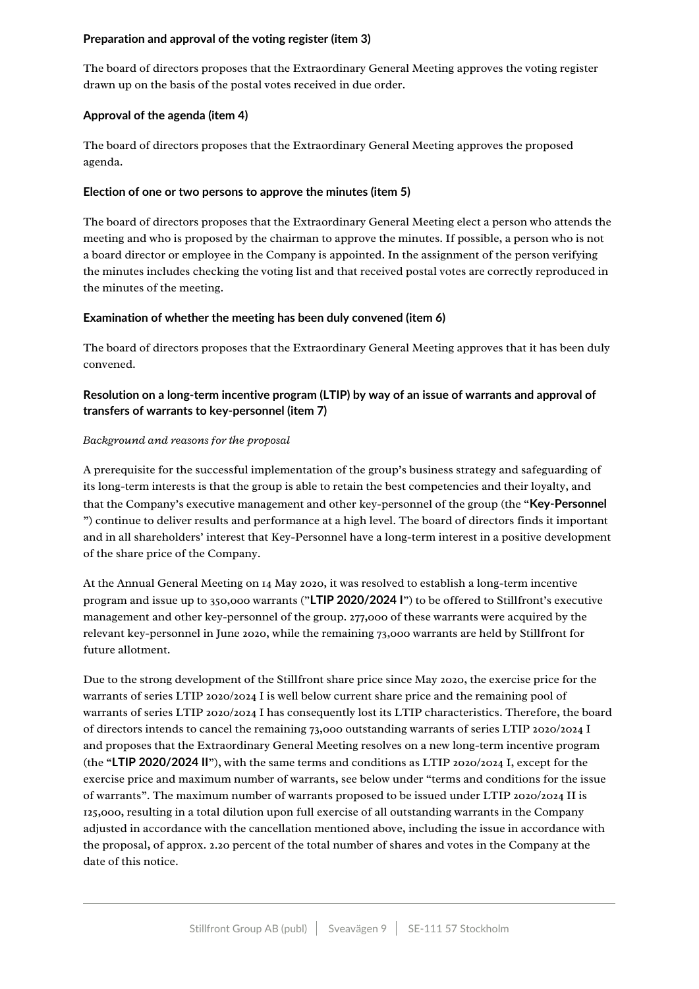# **Preparation and approval of the voting register (item 3)**

The board of directors proposes that the Extraordinary General Meeting approves the voting register drawn up on the basis of the postal votes received in due order.

# **Approval of the agenda (item 4)**

The board of directors proposes that the Extraordinary General Meeting approves the proposed agenda.

## **Election of one or two persons to approve the minutes (item 5)**

The board of directors proposes that the Extraordinary General Meeting elect a person who attends the meeting and who is proposed by the chairman to approve the minutes. If possible, a person who is not a board director or employee in the Company is appointed. In the assignment of the person verifying the minutes includes checking the voting list and that received postal votes are correctly reproduced in the minutes of the meeting.

## **Examination of whether the meeting has been duly convened (item 6)**

The board of directors proposes that the Extraordinary General Meeting approves that it has been duly convened.

# **Resolution on a long-term incentive program (LTIP) by way of an issue of warrants and approval of transfers of warrants to key-personnel (item 7)**

## *Background and reasons for the proposal*

A prerequisite for the successful implementation of the group's business strategy and safeguarding of its long-term interests is that the group is able to retain the best competencies and their loyalty, and that the Company's executive management and other key-personnel of the group (the "**Key-Personnel** ") continue to deliver results and performance at a high level. The board of directors finds it important and in all shareholders' interest that Key-Personnel have a long-term interest in a positive development of the share price of the Company.

At the Annual General Meeting on 14 May 2020, it was resolved to establish a long-term incentive program and issue up to 350,000 warrants ("LTIP 2020/2024 I") to be offered to Stillfront's executive management and other key-personnel of the group. 277,000 of these warrants were acquired by the relevant key-personnel in June 2020, while the remaining 73,000 warrants are held by Stillfront for future allotment.

Due to the strong development of the Stillfront share price since May 2020, the exercise price for the warrants of series LTIP 2020/2024 I is well below current share price and the remaining pool of warrants of series LTIP 2020/2024 I has consequently lost its LTIP characteristics. Therefore, the board of directors intends to cancel the remaining 73,000 outstanding warrants of series LTIP 2020/2024 I and proposes that the Extraordinary General Meeting resolves on a new long-term incentive program (the "LTIP 2020/2024 II"), with the same terms and conditions as LTIP 2020/2024 I, except for the exercise price and maximum number of warrants, see below under "terms and conditions for the issue of warrants". The maximum number of warrants proposed to be issued under LTIP 2020/2024 II is 125,000, resulting in a total dilution upon full exercise of all outstanding warrants in the Company adjusted in accordance with the cancellation mentioned above, including the issue in accordance with the proposal, of approx. 2.20 percent of the total number of shares and votes in the Company at the date of this notice.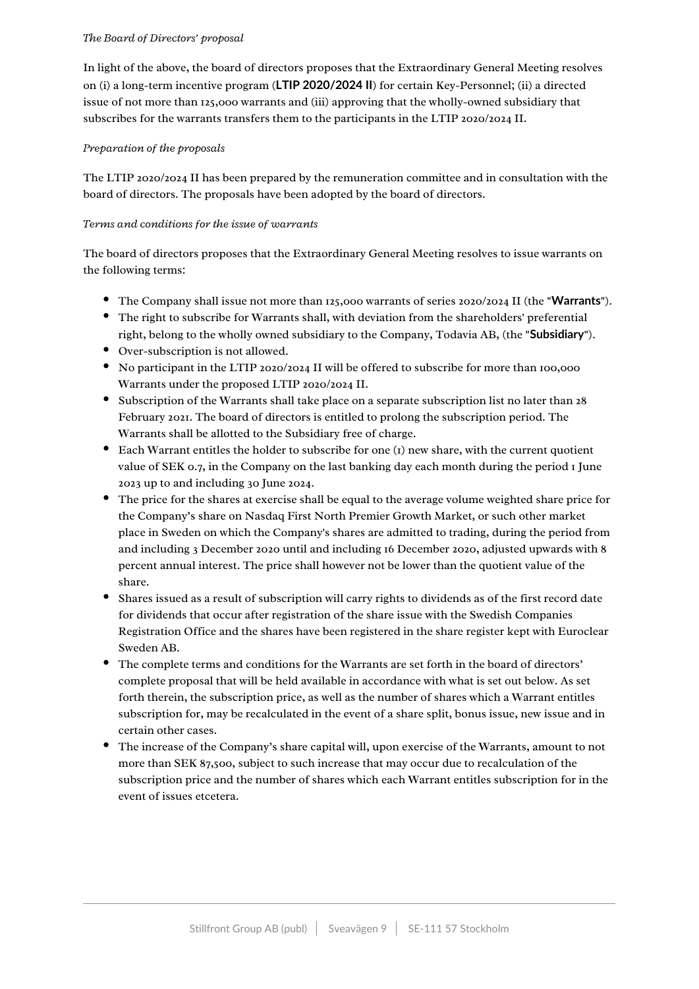## *The Board of Directors' proposal*

In light of the above, the board of directors proposes that the Extraordinary General Meeting resolves on (i) a long-term incentive program (**LTIP 2020/2024 II**) for certain Key-Personnel; (ii) a directed issue of not more than 125,000 warrants and (iii) approving that the wholly-owned subsidiary that subscribes for the warrants transfers them to the participants in the LTIP 2020/2024 II.

# *Preparation of the proposals*

The LTIP  $2020/2024$  II has been prepared by the remuneration committee and in consultation with the board of directors. The proposals have been adopted by the board of directors.

# *Terms and conditions for the issue of warrants*

The board of directors proposes that the Extraordinary General Meeting resolves to issue warrants on the following terms:

- The Company shall issue not more than 125,000 warrants of series 2020/2024 II (the "**Warrants**").
- The right to subscribe for Warrants shall, with deviation from the shareholders' preferential right, belong to the wholly owned subsidiary to the Company, Todavia AB, (the "**Subsidiary**").
- Over-subscription is not allowed.
- No participant in the LTIP 2020/2024 II will be offered to subscribe for more than 100,000 Warrants under the proposed LTIP 2020/2024 II.
- Subscription of the Warrants shall take place on a separate subscription list no later than 28 February 2021. The board of directors is entitled to prolong the subscription period. The Warrants shall be allotted to the Subsidiary free of charge.
- $\bullet$  Each Warrant entitles the holder to subscribe for one (1) new share, with the current quotient value of SEK 0.7, in the Company on the last banking day each month during the period  $I$  June 2023 up to and including 30 June 2024.
- The price for the shares at exercise shall be equal to the average volume weighted share price for the Company's share on Nasdaq First North Premier Growth Market, or such other market place in Sweden on which the Company's shares are admitted to trading, during the period from and including 3 December 2020 until and including 16 December 2020, adjusted upwards with 8 percent annual interest. The price shall however not be lower than the quotient value of the share.
- Shares issued as a result of subscription will carry rights to dividends as of the first record date for dividends that occur after registration of the share issue with the Swedish Companies Registration Office and the shares have been registered in the share register kept with Euroclear Sweden AB.
- The complete terms and conditions for the Warrants are set forth in the board of directors' complete proposal that will be held available in accordance with what is set out below. As set forth therein, the subscription price, as well as the number of shares which a Warrant entitles subscription for, may be recalculated in the event of a share split, bonus issue, new issue and in certain other cases.
- The increase of the Company's share capital will, upon exercise of the Warrants, amount to not more than SEK 87,500, subject to such increase that may occur due to recalculation of the subscription price and the number of shares which each Warrant entitles subscription for in the event of issues etcetera.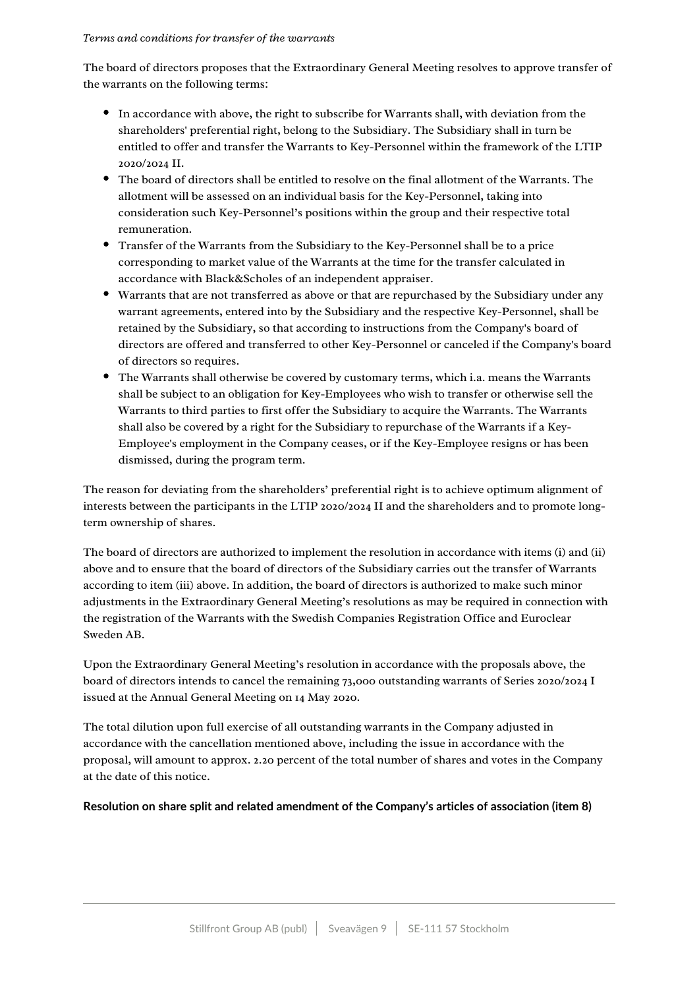## *Terms and conditions for transfer of the warrants*

The board of directors proposes that the Extraordinary General Meeting resolves to approve transfer of the warrants on the following terms:

- In accordance with above, the right to subscribe for Warrants shall, with deviation from the shareholders' preferential right, belong to the Subsidiary. The Subsidiary shall in turn be entitled to offer and transfer the Warrants to Key-Personnel within the framework of the LTIP 2020/2024 II.
- $\bullet$  The board of directors shall be entitled to resolve on the final allotment of the Warrants. The allotment will be assessed on an individual basis for the Key-Personnel, taking into consideration such Key-Personnel's positions within the group and their respective total remuneration.
- Transfer of the Warrants from the Subsidiary to the Key-Personnel shall be to a price corresponding to market value of the Warrants at the time for the transfer calculated in accordance with Black&Scholes of an independent appraiser.
- Warrants that are not transferred as above or that are repurchased by the Subsidiary under any warrant agreements, entered into by the Subsidiary and the respective Key-Personnel, shall be retained by the Subsidiary, so that according to instructions from the Company's board of directors are offered and transferred to other Key-Personnel or canceled if the Company's board of directors so requires.
- The Warrants shall otherwise be covered by customary terms, which i.a. means the Warrants shall be subject to an obligation for Key-Employees who wish to transfer or otherwise sell the Warrants to third parties to first offer the Subsidiary to acquire the Warrants. The Warrants shall also be covered by a right for the Subsidiary to repurchase of the Warrants if a Key-Employee's employment in the Company ceases, or if the Key-Employee resigns or has been dismissed, during the program term.

The reason for deviating from the shareholders' preferential right is to achieve optimum alignment of interests between the participants in the LTIP 2020/2024 II and the shareholders and to promote longterm ownership of shares.

The board of directors are authorized to implement the resolution in accordance with items (i) and (ii) above and to ensure that the board of directors of the Subsidiary carries out the transfer of Warrants according to item (iii) above. In addition, the board of directors is authorized to make such minor adjustments in the Extraordinary General Meeting's resolutions as may be required in connection with the registration of the Warrants with the Swedish Companies Registration Office and Euroclear Sweden AB.

Upon the Extraordinary General Meeting's resolution in accordance with the proposals above, the board of directors intends to cancel the remaining 73,000 outstanding warrants of Series 2020/2024 I issued at the Annual General Meeting on 14 May 2020.

The total dilution upon full exercise of all outstanding warrants in the Company adjusted in accordance with the cancellation mentioned above, including the issue in accordance with the proposal, will amount to approx. 2.20 percent of the total number of shares and votes in the Company at the date of this notice.

## **Resolution on share split and related amendment of the Company's articles of association (item 8)**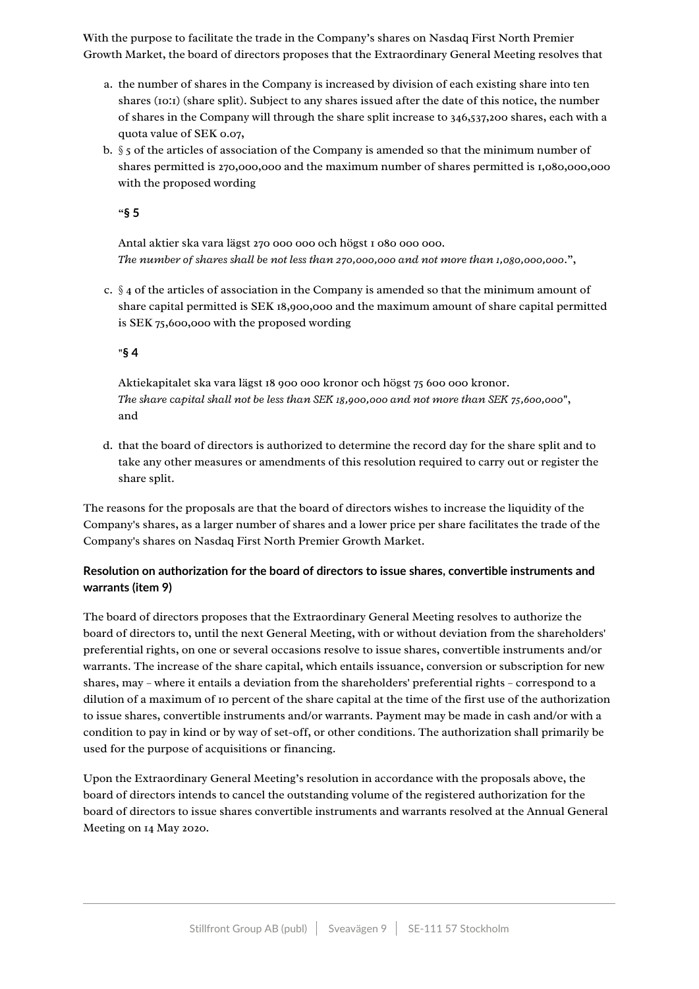With the purpose to facilitate the trade in the Company's shares on Nasdaq First North Premier Growth Market, the board of directors proposes that the Extraordinary General Meeting resolves that

- a. the number of shares in the Company is increased by division of each existing share into ten shares (10:1) (share split). Subject to any shares issued after the date of this notice, the number of shares in the Company will through the share split increase to  $346,537,200$  shares, each with a quota value of SEK 0.07,
- b. §5 of the articles of association of the Company is amended so that the minimum number of shares permitted is 270,000,000 and the maximum number of shares permitted is 1,080,000,000 with the proposed wording

"**§ 5**

Antal aktier ska vara lägst 270 000 000 och högst 1 080 000 000. *The number of shares shall be not less than 270,000,000 and not more than 1,080,000,000*.",

c.  $\S$  4 of the articles of association in the Company is amended so that the minimum amount of share capital permitted is SEK 18,900,000 and the maximum amount of share capital permitted is SEK  $75,600,000$  with the proposed wording

## "**§ 4**

Aktiekapitalet ska vara lägst 18 900 000 kronor och högst 75 600 000 kronor. *The share capital shall not be less than SEK 18,900,000 and not more than SEK 75,600,000*", and

d. that the board of directors is authorized to determine the record day for the share split and to take any other measures or amendments of this resolution required to carry out or register the share split.

The reasons for the proposals are that the board of directors wishes to increase the liquidity of the Company's shares, as a larger number of shares and a lower price per share facilitates the trade of the Company's shares on Nasdaq First North Premier Growth Market.

# **Resolution on authorization for the board of directors to issue shares, convertible instruments and warrants (item 9)**

The board of directors proposes that the Extraordinary General Meeting resolves to authorize the board of directors to, until the next General Meeting, with or without deviation from the shareholders' preferential rights, on one or several occasions resolve to issue shares, convertible instruments and/or warrants. The increase of the share capital, which entails issuance, conversion or subscription for new shares, may – where it entails a deviation from the shareholders' preferential rights – correspond to a dilution of a maximum of 10 percent of the share capital at the time of the first use of the authorization to issue shares, convertible instruments and/or warrants. Payment may be made in cash and/or with a condition to pay in kind or by way of set-off, or other conditions. The authorization shall primarily be used for the purpose of acquisitions or financing.

Upon the Extraordinary General Meeting's resolution in accordance with the proposals above, the board of directors intends to cancel the outstanding volume of the registered authorization for the board of directors to issue shares convertible instruments and warrants resolved at the Annual General Meeting on 14 May 2020.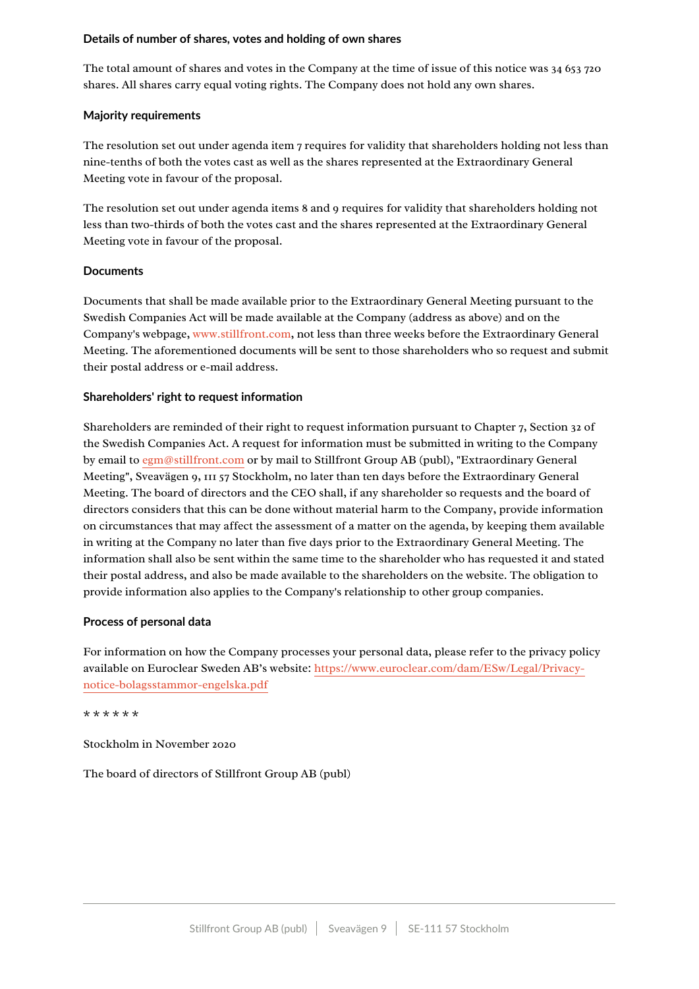## **Details of number of shares, votes and holding of own shares**

The total amount of shares and votes in the Company at the time of issue of this notice was  $34\,653\,720$ shares. All shares carry equal voting rights. The Company does not hold any own shares.

# **Majority requirements**

The resolution set out under agenda item  $7$  requires for validity that shareholders holding not less than nine-tenths of both the votes cast as well as the shares represented at the Extraordinary General Meeting vote in favour of the proposal.

The resolution set out under agenda items 8 and 9 requires for validity that shareholders holding not less than two-thirds of both the votes cast and the shares represented at the Extraordinary General Meeting vote in favour of the proposal.

# **Documents**

Documents that shall be made available prior to the Extraordinary General Meeting pursuant to the Swedish Companies Act will be made available at the Company (address as above) and on the Company's webpage, www.stillfront.com, not less than three weeks before the Extraordinary General Meeting. The aforementioned documents will be sent to those shareholders who so request and submit their postal address or e-mail address.

## **Shareholders' right to request information**

Shareholders are reminded of their right to request information pursuant to Chapter 7, Section 32 of the Swedish Companies Act. A request for information must be submitted in writing to the Company by email to egm@stillfront.com or by mail to Stillfront Group AB (publ), "Extraordinary General Meeting", Sveavägen 9, 111 57 Stockholm, no later than ten days before the Extraordinary General Meeting. The board of directors and the CEO shall, if any shareholder so requests and the board of directors considers that this can be done without material harm to the Company, provide information on circumstances that may affect the assessment of a matter on the agenda, by keeping them available in writing at the Company no later than five days prior to the Extraordinary General Meeting. The information shall also be sent within the same time to the shareholder who has requested it and stated their postal address, and also be made available to the shareholders on the website. The obligation to provide information also applies to the Company's relationship to other group companies.

# **Process of personal data**

For information on how the Company processes your personal data, please refer to the privacy policy available on Euroclear Sweden AB's website: https://www.euroclear.com/dam/ESw/Legal/Privacy[notice-bolagsstammor-engelska.pdf](https://www.euroclear.com/dam/ESw/Legal/Privacy-notice-bolagsstammor-engelska.pdf)

## \* \* \* \* \* \*

Stockholm in November 2020

The board of directors of Stillfront Group AB (publ)